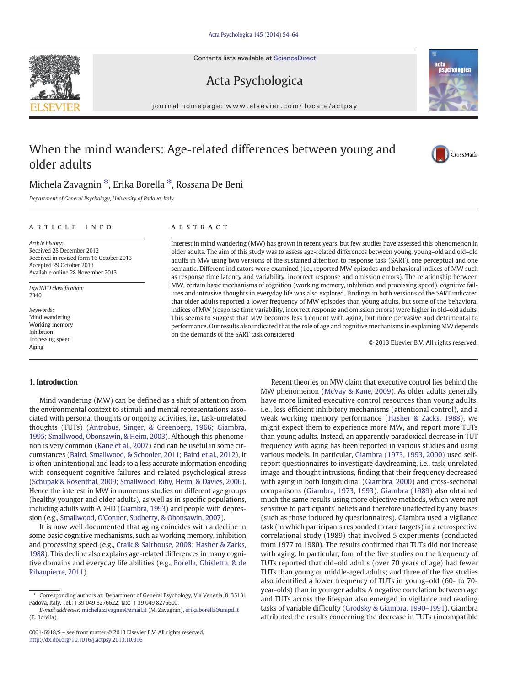Contents lists available at ScienceDirect

## Acta Psychologica

journal homepage: www.elsevier.com/ locate/actpsy

## When the mind wanders: Age-related differences between young and older adults

### Michela Zavagnin ⁎, Erika Borella ⁎, Rossana De Beni

Department of General Psychology, University of Padova, Italy

### ARTICLE INFO ABSTRACT

Article history: Received 28 December 2012 Received in revised form 16 October 2013 Accepted 29 October 2013 Available online 28 November 2013

PsycINFO classification: 2340

Keywords: Mind wandering Working memory Inhibition Processing speed Aging

Interest in mind wandering (MW) has grown in recent years, but few studies have assessed this phenomenon in older adults. The aim of this study was to assess age-related differences between young, young–old and old–old adults in MW using two versions of the sustained attention to response task (SART), one perceptual and one semantic. Different indicators were examined (i.e., reported MW episodes and behavioral indices of MW such as response time latency and variability, incorrect response and omission errors). The relationship between MW, certain basic mechanisms of cognition (working memory, inhibition and processing speed), cognitive failures and intrusive thoughts in everyday life was also explored. Findings in both versions of the SART indicated that older adults reported a lower frequency of MW episodes than young adults, but some of the behavioral indices of MW (response time variability, incorrect response and omission errors) were higher in old–old adults. This seems to suggest that MW becomes less frequent with aging, but more pervasive and detrimental to performance. Our results also indicated that the role of age and cognitive mechanisms in explaining MW depends on the demands of the SART task considered.

© 2013 Elsevier B.V. All rights reserved.

#### 1. Introduction

Mind wandering (MW) can be defined as a shift of attention from the environmental context to stimuli and mental representations associated with personal thoughts or ongoing activities, i.e., task-unrelated thoughts (TUTs) [\(Antrobus, Singer, & Greenberg, 1966; Giambra,](#page--1-0) [1995; Smallwood, Obonsawin, & Heim, 2003](#page--1-0)). Although this phenomenon is very common ([Kane et al., 2007\)](#page--1-0) and can be useful in some circumstances [\(Baird, Smallwood, & Schooler, 2011; Baird et al., 2012](#page--1-0)), it is often unintentional and leads to a less accurate information encoding with consequent cognitive failures and related psychological stress [\(Schupak & Rosenthal, 2009; Smallwood, Riby, Heim, & Davies, 2006\)](#page--1-0). Hence the interest in MW in numerous studies on different age groups (healthy younger and older adults), as well as in specific populations, including adults with ADHD [\(Giambra, 1993\)](#page--1-0) and people with depression (e.g., [Smallwood, O'Connor, Sudberry, & Obonsawin, 2007](#page--1-0)).

It is now well documented that aging coincides with a decline in some basic cognitive mechanisms, such as working memory, inhibition and processing speed (e.g., [Craik & Salthouse, 2008; Hasher & Zacks,](#page--1-0) [1988\)](#page--1-0). This decline also explains age-related differences in many cognitive domains and everyday life abilities (e.g., [Borella, Ghisletta, & de](#page--1-0) [Ribaupierre, 2011\)](#page--1-0).

Recent theories on MW claim that executive control lies behind the MW phenomenon [\(McVay & Kane, 2009](#page--1-0)). As older adults generally have more limited executive control resources than young adults, i.e., less efficient inhibitory mechanisms (attentional control), and a weak working memory performance ([Hasher & Zacks, 1988\)](#page--1-0), we might expect them to experience more MW, and report more TUTs than young adults. Instead, an apparently paradoxical decrease in TUT frequency with aging has been reported in various studies and using various models. In particular, [Giambra \(1973, 1993, 2000\)](#page--1-0) used selfreport questionnaires to investigate daydreaming, i.e., task-unrelated image and thought intrusions, finding that their frequency decreased with aging in both longitudinal ([Giambra, 2000](#page--1-0)) and cross-sectional comparisons ([Giambra, 1973, 1993](#page--1-0)). [Giambra \(1989\)](#page--1-0) also obtained much the same results using more objective methods, which were not sensitive to participants' beliefs and therefore unaffected by any biases (such as those induced by questionnaires). Giambra used a vigilance task (in which participants responded to rare targets) in a retrospective correlational study (1989) that involved 5 experiments (conducted from 1977 to 1980). The results confirmed that TUTs did not increase with aging. In particular, four of the five studies on the frequency of TUTs reported that old–old adults (over 70 years of age) had fewer TUTs than young or middle-aged adults; and three of the five studies also identified a lower frequency of TUTs in young–old (60- to 70 year-olds) than in younger adults. A negative correlation between age and TUTs across the lifespan also emerged in vigilance and reading tasks of variable difficulty ([Grodsky & Giambra, 1990](#page--1-0)–1991). Giambra attributed the results concerning the decrease in TUTs (incompatible







<sup>⁎</sup> Corresponding authors at: Department of General Psychology, Via Venezia, 8, 35131 Padova, Italy. Tel.:+39 049 8276622; fax: +39 049 8276600.

E-mail addresses: [michela.zavagnin@email.it](mailto:michela.zavagnin@email.it) (M. Zavagnin), [erika.borella@unipd.it](mailto:erika.borella@unipd.it) (E. Borella).

<sup>0001-6918/\$</sup> – see front matter © 2013 Elsevier B.V. All rights reserved. <http://dx.doi.org/10.1016/j.actpsy.2013.10.016>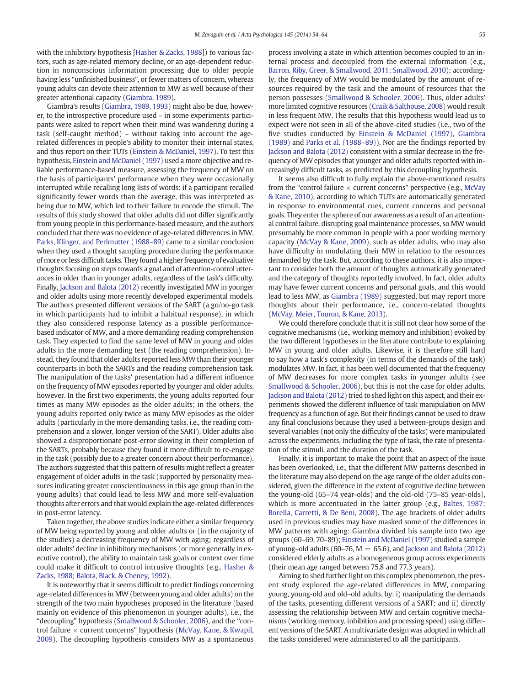with the inhibitory hypothesis [[Hasher & Zacks, 1988\]](#page--1-0)) to various factors, such as age-related memory decline, or an age-dependent reduction in nonconscious information processing due to older people having less "unfinished business", or fewer matters of concern, whereas young adults can devote their attention to MW as well because of their greater attentional capacity ([Giambra, 1989\)](#page--1-0).

Giambra's results [\(Giambra, 1989, 1993](#page--1-0)) might also be due, however, to the introspective procedure used – in some experiments participants were asked to report when their mind was wandering during a task (self-caught method) – without taking into account the agerelated differences in people's ability to monitor their internal states, and thus report on their TUTs [\(Einstein & McDaniel, 1997](#page--1-0)). To test this hypothesis, [Einstein and McDaniel \(1997\)](#page--1-0) used a more objective and reliable performance-based measure, assessing the frequency of MW on the basis of participants' performance when they were occasionally interrupted while recalling long lists of words: if a participant recalled significantly fewer words than the average, this was interpreted as being due to MW, which led to their failure to encode the stimuli. The results of this study showed that older adults did not differ significantly from young people in this performance-based measure, and the authors concluded that there was no evidence of age-related differences in MW. [Parks, Klinger, and Perlmutter \(1988](#page--1-0)–89) came to a similar conclusion when they used a thought sampling procedure during the performance of more or less difficult tasks. They found a higher frequency of evaluative thoughts focusing on steps towards a goal and of attention-control utterances in older than in younger adults, regardless of the task's difficulty. Finally, [Jackson and Balota \(2012\)](#page--1-0) recently investigated MW in younger and older adults using more recently developed experimental models. The authors presented different versions of the SART (a go/no-go task in which participants had to inhibit a habitual response), in which they also considered response latency as a possible performancebased indicator of MW, and a more demanding reading comprehension task. They expected to find the same level of MW in young and older adults in the more demanding test (the reading comprehension). Instead, they found that older adults reported less MW than their younger counterparts in both the SARTs and the reading comprehension task. The manipulation of the tasks' presentation had a different influence on the frequency of MW episodes reported by younger and older adults, however. In the first two experiments, the young adults reported four times as many MW episodes as the older adults; in the others, the young adults reported only twice as many MW episodes as the older adults (particularly in the more demanding tasks, i.e., the reading comprehension and a slower, longer version of the SART). Older adults also showed a disproportionate post-error slowing in their completion of the SARTs, probably because they found it more difficult to re-engage in the task (possibly due to a greater concern about their performance). The authors suggested that this pattern of results might reflect a greater engagement of older adults in the task (supported by personality measures indicating greater conscientiousness in this age group than in the young adults) that could lead to less MW and more self-evaluation thoughts after errors and that would explain the age-related differences in post-error latency.

Taken together, the above studies indicate either a similar frequency of MW being reported by young and older adults or (in the majority of the studies) a decreasing frequency of MW with aging; regardless of older adults' decline in inhibitory mechanisms (or more generally in executive control), the ability to maintain task goals or context over time could make it difficult to control intrusive thoughts (e.g., [Hasher &](#page--1-0) [Zacks, 1988; Balota, Black, & Cheney, 1992](#page--1-0)).

It is noteworthy that it seems difficult to predict findings concerning age-related differences in MW (between young and older adults) on the strength of the two main hypotheses proposed in the literature (based mainly on evidence of this phenomenon in younger adults), i.e., the "decoupling" hypothesis [\(Smallwood & Schooler, 2006\)](#page--1-0), and the "control failure  $\times$  current concerns" hypothesis ([McVay, Kane, & Kwapil,](#page--1-0) [2009\)](#page--1-0). The decoupling hypothesis considers MW as a spontaneous process involving a state in which attention becomes coupled to an internal process and decoupled from the external information (e.g., [Barron, Riby, Greer, & Smallwood, 2011; Smallwood, 2010\)](#page--1-0); accordingly, the frequency of MW would be modulated by the amount of resources required by the task and the amount of resources that the person possesses ([Smallwood & Schooler, 2006\)](#page--1-0). Thus, older adults' more limited cognitive resources [\(Craik & Salthouse, 2008](#page--1-0)) would result in less frequent MW. The results that this hypothesis would lead us to expect were not seen in all of the above-cited studies (i.e., two of the five studies conducted by [Einstein & McDaniel \(1997\),](#page--1-0) [Giambra](#page--1-0) [\(1989\)](#page--1-0) and [Parks et al. \(1988](#page--1-0)–89)). Nor are the findings reported by [Jackson and Balota \(2012\)](#page--1-0) consistent with a similar decrease in the frequency of MW episodes that younger and older adults reported with increasingly difficult tasks, as predicted by this decoupling hypothesis.

It seems also difficult to fully explain the above-mentioned results from the "control failure  $\times$  current concerns" perspective (e.g., [McVay](#page--1-0) [& Kane, 2010\)](#page--1-0), according to which TUTs are automatically generated in response to environmental cues, current concerns and personal goals. They enter the sphere of our awareness as a result of an attentional control failure, disrupting goal maintenance processes, so MW would presumably be more common in people with a poor working memory capacity ([McVay & Kane, 2009\)](#page--1-0), such as older adults, who may also have difficulty in modulating their MW in relation to the resources demanded by the task. But, according to these authors, it is also important to consider both the amount of thoughts automatically generated and the category of thoughts reportedly involved. In fact, older adults may have fewer current concerns and personal goals, and this would lead to less MW, as [Giambra \(1989\)](#page--1-0) suggested, but may report more thoughts about their performance, i.e., concern-related thoughts [\(McVay, Meier, Touron, & Kane, 2013\)](#page--1-0).

We could therefore conclude that it is still not clear how some of the cognitive mechanisms (i.e., working memory and inhibition) evoked by the two different hypotheses in the literature contribute to explaining MW in young and older adults. Likewise, it is therefore still hard to say how a task's complexity (in terms of the demands of the task) modulates MW. In fact, it has been well documented that the frequency of MW decreases for more complex tasks in younger adults (see [Smallwood & Schooler, 2006\)](#page--1-0), but this is not the case for older adults. [Jackson and Balota \(2012\)](#page--1-0) tried to shed light on this aspect, and their experiments showed the different influence of task manipulation on MW frequency as a function of age. But their findings cannot be used to draw any final conclusions because they used a between-groups design and several variables (not only the difficulty of the tasks) were manipulated across the experiments, including the type of task, the rate of presentation of the stimuli, and the duration of the task.

Finally, it is important to make the point that an aspect of the issue has been overlooked, i.e., that the different MW patterns described in the literature may also depend on the age range of the older adults considered, given the difference in the extent of cognitive decline between the young-old (65–74 year-olds) and the old-old (75–85 year-olds), which is more accentuated in the latter group (e.g., [Baltes, 1987;](#page--1-0) [Borella, Carretti, & De Beni, 2008\)](#page--1-0). The age brackets of older adults used in previous studies may have masked some of the differences in MW patterns with aging: Giambra divided his sample into two age groups (60–69, 70–89); [Einstein and McDaniel \(1997\)](#page--1-0) studied a sample of young–old adults (60–76,  $M = 65.6$ ), and [Jackson and Balota \(2012\)](#page--1-0) considered elderly adults as a homogeneous group across experiments (their mean age ranged between 75.8 and 77.3 years).

Aiming to shed further light on this complex phenomenon, the present study explored the age-related differences in MW, comparing young, young-old and old–old adults, by: i) manipulating the demands of the tasks, presenting different versions of a SART; and ii) directly assessing the relationship between MW and certain cognitive mechanisms (working memory, inhibition and processing speed) using different versions of the SART. A multivariate design was adopted in which all the tasks considered were administered to all the participants.